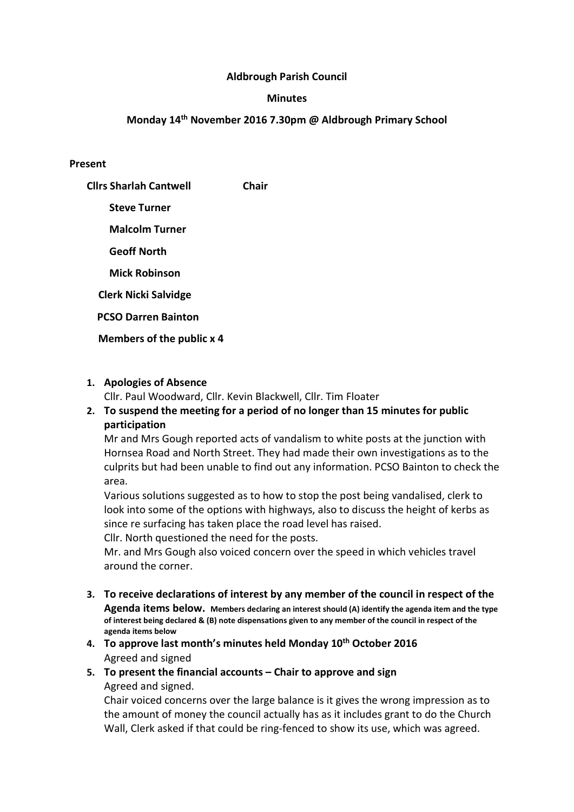### Aldbrough Parish Council

#### **Minutes**

### Monday 14th November 2016 7.30pm @ Aldbrough Primary School

#### Present

Cllrs Sharlah Cantwell Chair Steve Turner Malcolm Turner Geoff North Mick Robinson Clerk Nicki Salvidge

PCSO Darren Bainton

Members of the public x 4

#### 1. Apologies of Absence

Cllr. Paul Woodward, Cllr. Kevin Blackwell, Cllr. Tim Floater

# 2. To suspend the meeting for a period of no longer than 15 minutes for public participation

Mr and Mrs Gough reported acts of vandalism to white posts at the junction with Hornsea Road and North Street. They had made their own investigations as to the culprits but had been unable to find out any information. PCSO Bainton to check the area.

Various solutions suggested as to how to stop the post being vandalised, clerk to look into some of the options with highways, also to discuss the height of kerbs as since re surfacing has taken place the road level has raised.

Cllr. North questioned the need for the posts.

Mr. and Mrs Gough also voiced concern over the speed in which vehicles travel around the corner.

- 3. To receive declarations of interest by any member of the council in respect of the Agenda items below. Members declaring an interest should (A) identify the agenda item and the type of interest being declared & (B) note dispensations given to any member of the council in respect of the agenda items below
- 4. To approve last month's minutes held Monday 10<sup>th</sup> October 2016 Agreed and signed
- 5. To present the financial accounts Chair to approve and sign Agreed and signed.

Chair voiced concerns over the large balance is it gives the wrong impression as to the amount of money the council actually has as it includes grant to do the Church Wall, Clerk asked if that could be ring-fenced to show its use, which was agreed.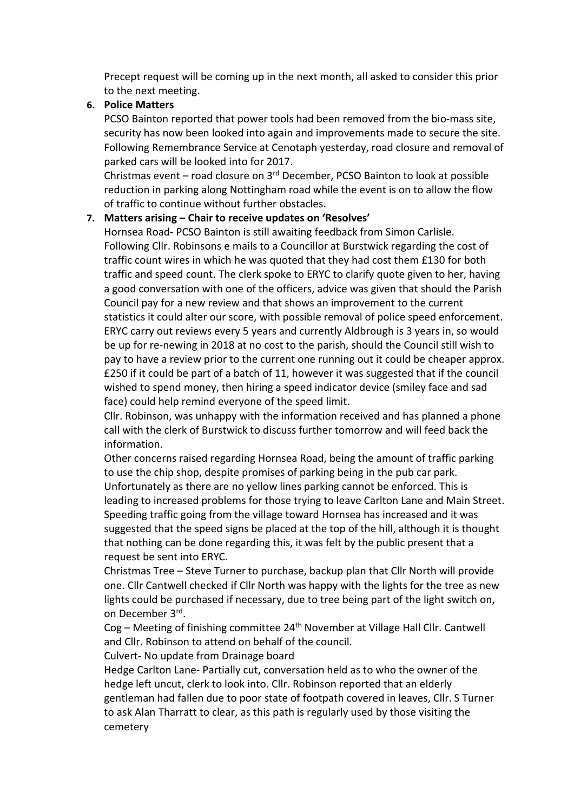Precept request will be coming up in the next month, all asked to consider this prior to the next meeting.

### 6. Police Matters

PCSO Bainton reported that power tools had been removed from the bio-mass site, security has now been looked into again and improvements made to secure the site. Following Remembrance Service at Cenotaph yesterday, road closure and removal of parked cars will be looked into for 2017.

Christmas event – road closure on 3rd December, PCSO Bainton to look at possible reduction in parking along Nottingham road while the event is on to allow the flow of traffic to continue without further obstacles.

### 7. Matters arising – Chair to receive updates on 'Resolves'

Hornsea Road- PCSO Bainton is still awaiting feedback from Simon Carlisle. Following Cllr. Robinsons e mails to a Councillor at Burstwick regarding the cost of traffic count wires in which he was quoted that they had cost them £130 for both traffic and speed count. The clerk spoke to ERYC to clarify quote given to her, having a good conversation with one of the officers, advice was given that should the Parish Council pay for a new review and that shows an improvement to the current statistics it could alter our score, with possible removal of police speed enforcement. ERYC carry out reviews every 5 years and currently Aldbrough is 3 years in, so would be up for re-newing in 2018 at no cost to the parish, should the Council still wish to pay to have a review prior to the current one running out it could be cheaper approx. £250 if it could be part of a batch of 11, however it was suggested that if the council wished to spend money, then hiring a speed indicator device (smiley face and sad face) could help remind everyone of the speed limit.

Cllr. Robinson, was unhappy with the information received and has planned a phone call with the clerk of Burstwick to discuss further tomorrow and will feed back the information.

Other concerns raised regarding Hornsea Road, being the amount of traffic parking to use the chip shop, despite promises of parking being in the pub car park. Unfortunately as there are no yellow lines parking cannot be enforced. This is leading to increased problems for those trying to leave Carlton Lane and Main Street. Speeding traffic going from the village toward Hornsea has increased and it was suggested that the speed signs be placed at the top of the hill, although it is thought that nothing can be done regarding this, it was felt by the public present that a request be sent into ERYC.

Christmas Tree – Steve Turner to purchase, backup plan that Cllr North will provide one. Cllr Cantwell checked if Cllr North was happy with the lights for the tree as new lights could be purchased if necessary, due to tree being part of the light switch on, on December 3rd .

Cog – Meeting of finishing committee 24th November at Village Hall Cllr. Cantwell and Cllr. Robinson to attend on behalf of the council.

Culvert- No update from Drainage board

Hedge Carlton Lane- Partially cut, conversation held as to who the owner of the hedge left uncut, clerk to look into. Cllr. Robinson reported that an elderly gentleman had fallen due to poor state of footpath covered in leaves, Cllr. S Turner to ask Alan Tharratt to clear, as this path is regularly used by those visiting the cemetery